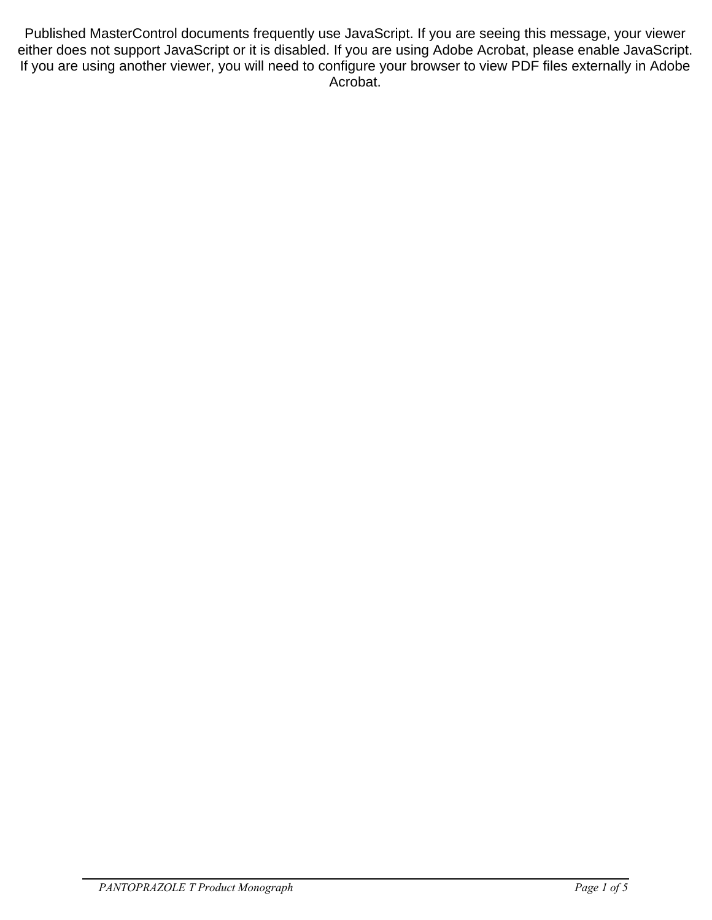Published MasterControl documents frequently use JavaScript. If you are seeing this message, your viewer either does not support JavaScript or it is disabled. If you are using Adobe Acrobat, please enable JavaScript. If you are using another viewer, you will need to configure your browser to view PDF files externally in Adobe Acrobat.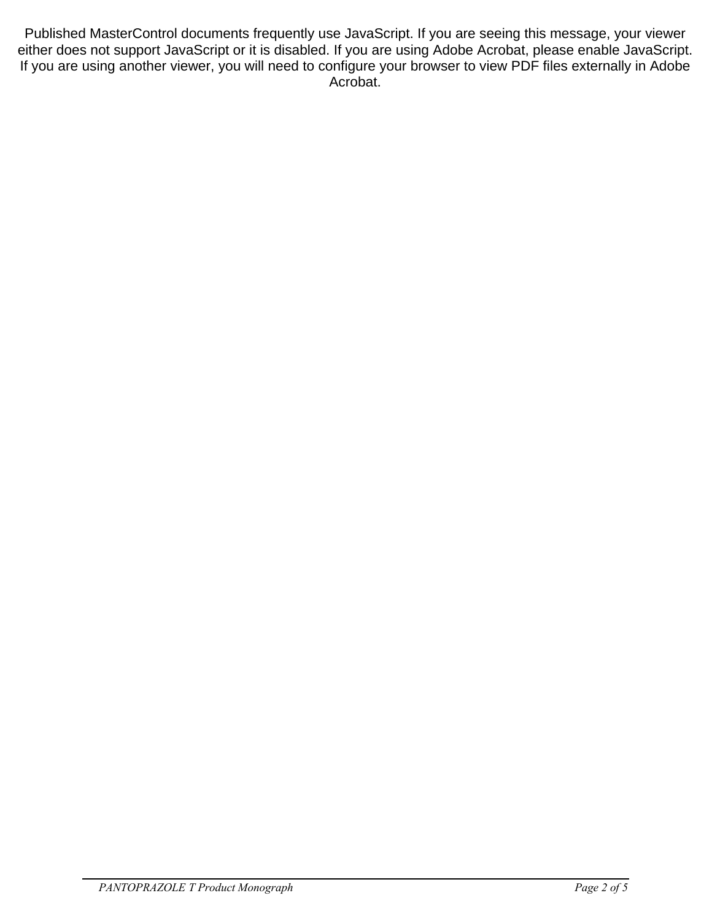Published MasterControl documents frequently use JavaScript. If you are seeing this message, your viewer either does not support JavaScript or it is disabled. If you are using Adobe Acrobat, please enable JavaScript. If you are using another viewer, you will need to configure your browser to view PDF files externally in Adobe Acrobat.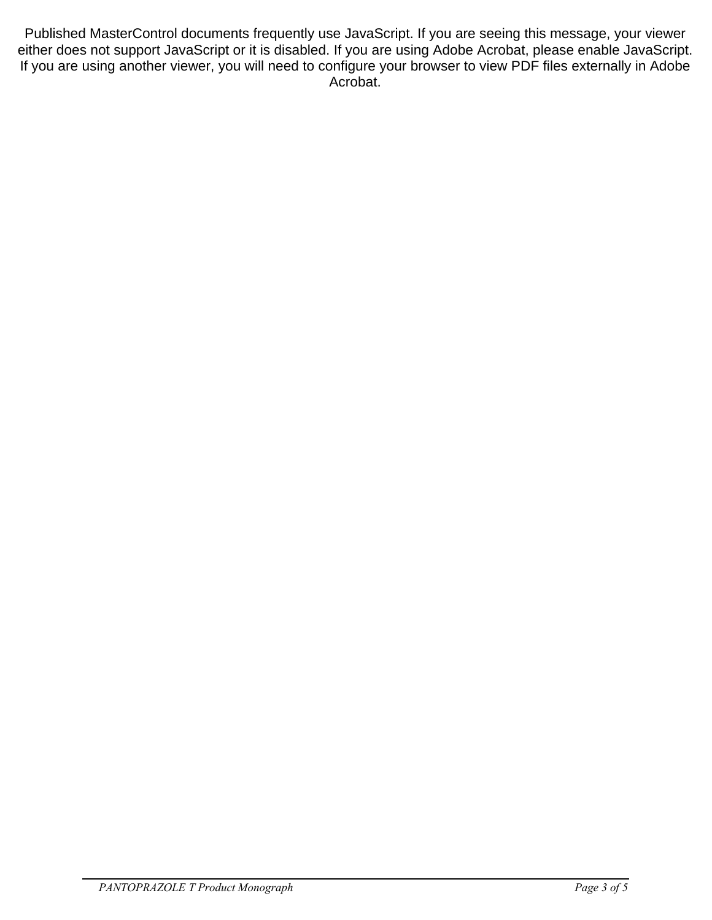**The following may interact with PANTOPRAZOLE T:** Published MasterControl documents frequently use JavaScript. If you are seeing this message, your viewer either does not support JavaScript or it is disabled. If you are using Adobe Acrobat, please enable JavaScript. If you are using another viewer, you will need to configure your browser to view PDF files externally in Adobe Acrobat.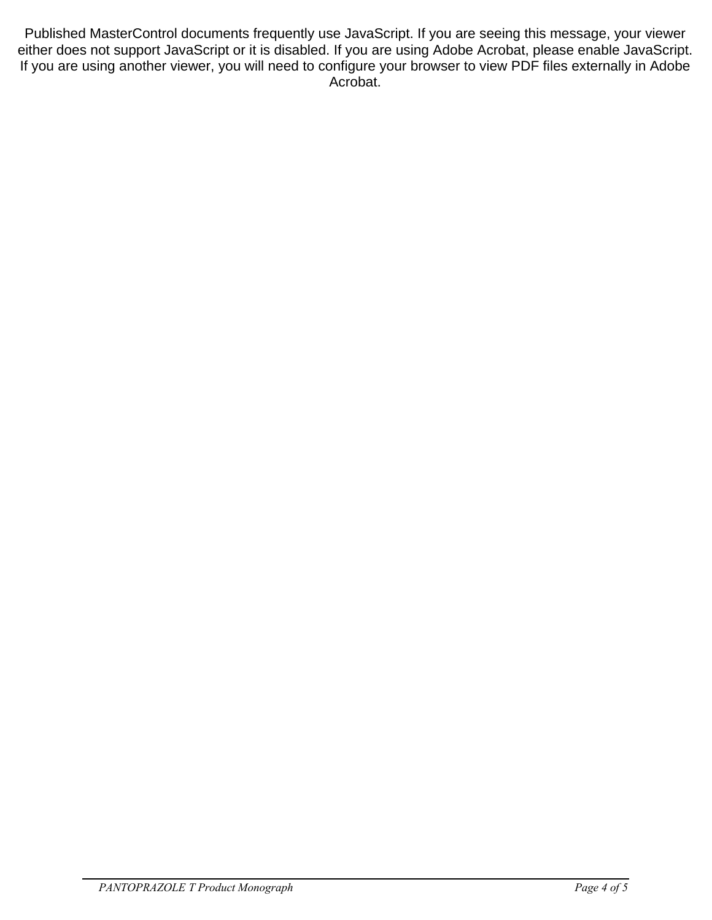Published MasterControl documents frequently use JavaScript. If you are seeing this message, your viewer either does not support JavaScript or it is disabled. If you are using Adobe Acrobat, please enable JavaScript. If you are using another viewer, you will need to configure your browser to view PDF files externally in Adobe Acrobat.